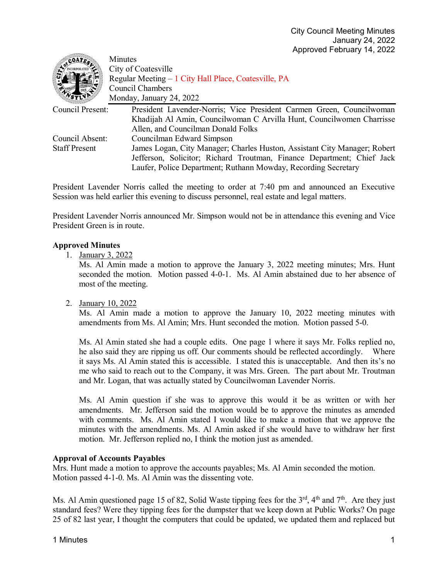| COATE.               | Minutes                                                                   |
|----------------------|---------------------------------------------------------------------------|
|                      | City of Coatesville                                                       |
|                      | Regular Meeting – 1 City Hall Place, Coatesville, PA                      |
|                      | <b>Council Chambers</b>                                                   |
|                      | Monday, January 24, 2022                                                  |
| Council Present:     | President Lavender-Norris; Vice President Carmen Green, Councilwoman      |
|                      | Khadijah Al Amin, Councilwoman C Arvilla Hunt, Councilwomen Charrisse     |
|                      | Allen, and Councilman Donald Folks                                        |
| Council Absent:      | Councilman Edward Simpson                                                 |
| <b>Staff Present</b> | James Logan, City Manager; Charles Huston, Assistant City Manager; Robert |
|                      | Jefferson, Solicitor; Richard Troutman, Finance Department; Chief Jack    |
|                      | Laufer, Police Department; Ruthann Mowday, Recording Secretary            |

President Lavender Norris called the meeting to order at 7:40 pm and announced an Executive Session was held earlier this evening to discuss personnel, real estate and legal matters.

President Lavender Norris announced Mr. Simpson would not be in attendance this evening and Vice President Green is in route.

# **Approved Minutes**

1. January 3, 2022

Ms. Al Amin made a motion to approve the January 3, 2022 meeting minutes; Mrs. Hunt seconded the motion. Motion passed 4-0-1. Ms. Al Amin abstained due to her absence of most of the meeting.

2. January 10, 2022

Ms. Al Amin made a motion to approve the January 10, 2022 meeting minutes with amendments from Ms. Al Amin; Mrs. Hunt seconded the motion. Motion passed 5-0.

Ms. Al Amin stated she had a couple edits. One page 1 where it says Mr. Folks replied no, he also said they are ripping us off. Our comments should be reflected accordingly. Where it says Ms. Al Amin stated this is accessible. I stated this is unacceptable. And then its's no me who said to reach out to the Company, it was Mrs. Green. The part about Mr. Troutman and Mr. Logan, that was actually stated by Councilwoman Lavender Norris.

Ms. Al Amin question if she was to approve this would it be as written or with her amendments. Mr. Jefferson said the motion would be to approve the minutes as amended with comments. Ms. Al Amin stated I would like to make a motion that we approve the minutes with the amendments. Ms. Al Amin asked if she would have to withdraw her first motion. Mr. Jefferson replied no, I think the motion just as amended.

#### **Approval of Accounts Payables**

Mrs. Hunt made a motion to approve the accounts payables; Ms. Al Amin seconded the motion. Motion passed 4-1-0. Ms. Al Amin was the dissenting vote.

Ms. Al Amin questioned page 15 of 82, Solid Waste tipping fees for the 3<sup>rd</sup>, 4<sup>th</sup> and 7<sup>th</sup>. Are they just standard fees? Were they tipping fees for the dumpster that we keep down at Public Works? On page 25 of 82 last year, I thought the computers that could be updated, we updated them and replaced but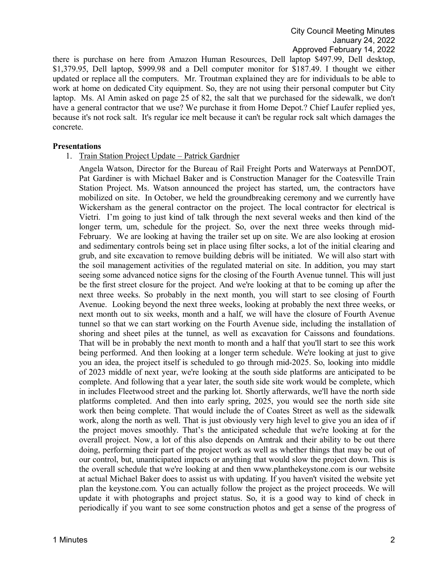there is purchase on here from Amazon Human Resources, Dell laptop \$497.99, Dell desktop, \$1,379.95, Dell laptop, \$999.98 and a Dell computer monitor for \$187.49. I thought we either updated or replace all the computers. Mr. Troutman explained they are for individuals to be able to work at home on dedicated City equipment. So, they are not using their personal computer but City laptop. Ms. Al Amin asked on page 25 of 82, the salt that we purchased for the sidewalk, we don't have a general contractor that we use? We purchase it from Home Depot.? Chief Laufer replied yes, because it's not rock salt. It's regular ice melt because it can't be regular rock salt which damages the concrete.

#### **Presentations**

1. Train Station Project Update – Patrick Gardnier

Angela Watson, Director for the Bureau of Rail Freight Ports and Waterways at PennDOT, Pat Gardiner is with Michael Baker and is Construction Manager for the Coatesville Train Station Project. Ms. Watson announced the project has started, um, the contractors have mobilized on site. In October, we held the groundbreaking ceremony and we currently have Wickersham as the general contractor on the project. The local contractor for electrical is Vietri. I'm going to just kind of talk through the next several weeks and then kind of the longer term, um, schedule for the project. So, over the next three weeks through mid-February. We are looking at having the trailer set up on site. We are also looking at erosion and sedimentary controls being set in place using filter socks, a lot of the initial clearing and grub, and site excavation to remove building debris will be initiated. We will also start with the soil management activities of the regulated material on site. In addition, you may start seeing some advanced notice signs for the closing of the Fourth Avenue tunnel. This will just be the first street closure for the project. And we're looking at that to be coming up after the next three weeks. So probably in the next month, you will start to see closing of Fourth Avenue. Looking beyond the next three weeks, looking at probably the next three weeks, or next month out to six weeks, month and a half, we will have the closure of Fourth Avenue tunnel so that we can start working on the Fourth Avenue side, including the installation of shoring and sheet piles at the tunnel, as well as excavation for Caissons and foundations. That will be in probably the next month to month and a half that you'll start to see this work being performed. And then looking at a longer term schedule. We're looking at just to give you an idea, the project itself is scheduled to go through mid-2025. So, looking into middle of 2023 middle of next year, we're looking at the south side platforms are anticipated to be complete. And following that a year later, the south side site work would be complete, which in includes Fleetwood street and the parking lot. Shortly afterwards, we'll have the north side platforms completed. And then into early spring, 2025, you would see the north side site work then being complete. That would include the of Coates Street as well as the sidewalk work, along the north as well. That is just obviously very high level to give you an idea of if the project moves smoothly. That's the anticipated schedule that we're looking at for the overall project. Now, a lot of this also depends on Amtrak and their ability to be out there doing, performing their part of the project work as well as whether things that may be out of our control, but, unanticipated impacts or anything that would slow the project down. This is the overall schedule that we're looking at and then www.planthekeystone.com is our website at actual Michael Baker does to assist us with updating. If you haven't visited the website yet plan the keystone.com. You can actually follow the project as the project proceeds. We will update it with photographs and project status. So, it is a good way to kind of check in periodically if you want to see some construction photos and get a sense of the progress of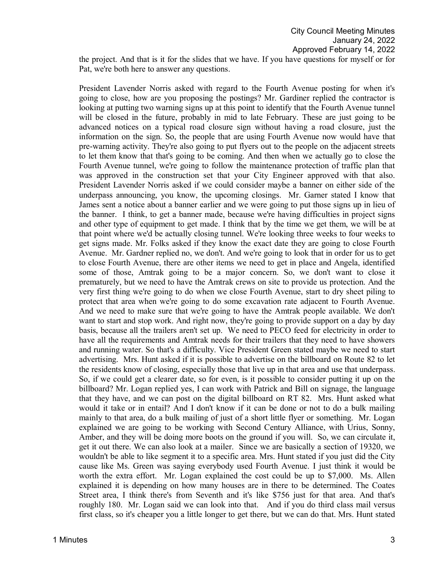the project. And that is it for the slides that we have. If you have questions for myself or for Pat, we're both here to answer any questions.

President Lavender Norris asked with regard to the Fourth Avenue posting for when it's going to close, how are you proposing the postings? Mr. Gardiner replied the contractor is looking at putting two warning signs up at this point to identify that the Fourth Avenue tunnel will be closed in the future, probably in mid to late February. These are just going to be advanced notices on a typical road closure sign without having a road closure, just the information on the sign. So, the people that are using Fourth Avenue now would have that pre-warning activity. They're also going to put flyers out to the people on the adjacent streets to let them know that that's going to be coming. And then when we actually go to close the Fourth Avenue tunnel, we're going to follow the maintenance protection of traffic plan that was approved in the construction set that your City Engineer approved with that also. President Lavender Norris asked if we could consider maybe a banner on either side of the underpass announcing, you know, the upcoming closings. Mr. Garner stated I know that James sent a notice about a banner earlier and we were going to put those signs up in lieu of the banner. I think, to get a banner made, because we're having difficulties in project signs and other type of equipment to get made. I think that by the time we get them, we will be at that point where we'd be actually closing tunnel. We're looking three weeks to four weeks to get signs made. Mr. Folks asked if they know the exact date they are going to close Fourth Avenue. Mr. Gardner replied no, we don't. And we're going to look that in order for us to get to close Fourth Avenue, there are other items we need to get in place and Angela, identified some of those, Amtrak going to be a major concern. So, we don't want to close it prematurely, but we need to have the Amtrak crews on site to provide us protection. And the very first thing we're going to do when we close Fourth Avenue, start to dry sheet piling to protect that area when we're going to do some excavation rate adjacent to Fourth Avenue. And we need to make sure that we're going to have the Amtrak people available. We don't want to start and stop work. And right now, they're going to provide support on a day by day basis, because all the trailers aren't set up. We need to PECO feed for electricity in order to have all the requirements and Amtrak needs for their trailers that they need to have showers and running water. So that's a difficulty. Vice President Green stated maybe we need to start advertising. Mrs. Hunt asked if it is possible to advertise on the billboard on Route 82 to let the residents know of closing, especially those that live up in that area and use that underpass. So, if we could get a clearer date, so for even, is it possible to consider putting it up on the billboard? Mr. Logan replied yes, I can work with Patrick and Bill on signage, the language that they have, and we can post on the digital billboard on RT 82. Mrs. Hunt asked what would it take or in entail? And I don't know if it can be done or not to do a bulk mailing mainly to that area, do a bulk mailing of just of a short little flyer or something. Mr. Logan explained we are going to be working with Second Century Alliance, with Urius, Sonny, Amber, and they will be doing more boots on the ground if you will. So, we can circulate it, get it out there. We can also look at a mailer. Since we are basically a section of 19320, we wouldn't be able to like segment it to a specific area. Mrs. Hunt stated if you just did the City cause like Ms. Green was saying everybody used Fourth Avenue. I just think it would be worth the extra effort. Mr. Logan explained the cost could be up to \$7,000. Ms. Allen explained it is depending on how many houses are in there to be determined. The Coates Street area, I think there's from Seventh and it's like \$756 just for that area. And that's roughly 180. Mr. Logan said we can look into that. And if you do third class mail versus first class, so it's cheaper you a little longer to get there, but we can do that. Mrs. Hunt stated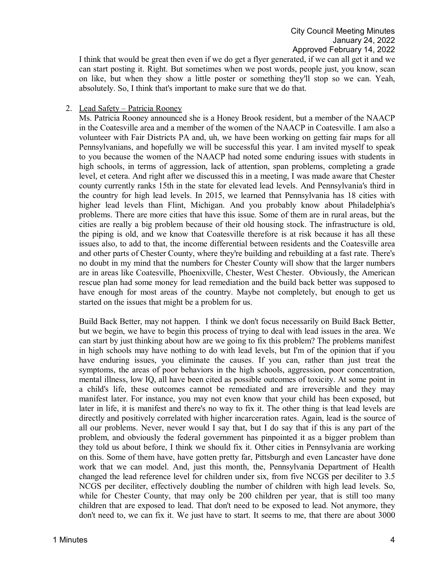I think that would be great then even if we do get a flyer generated, if we can all get it and we can start posting it. Right. But sometimes when we post words, people just, you know, scan on like, but when they show a little poster or something they'll stop so we can. Yeah, absolutely. So, I think that's important to make sure that we do that.

# 2. Lead Safety – Patricia Rooney

Ms. Patricia Rooney announced she is a Honey Brook resident, but a member of the NAACP in the Coatesville area and a member of the women of the NAACP in Coatesville. I am also a volunteer with Fair Districts PA and, uh, we have been working on getting fair maps for all Pennsylvanians, and hopefully we will be successful this year. I am invited myself to speak to you because the women of the NAACP had noted some enduring issues with students in high schools, in terms of aggression, lack of attention, span problems, completing a grade level, et cetera. And right after we discussed this in a meeting, I was made aware that Chester county currently ranks 15th in the state for elevated lead levels. And Pennsylvania's third in the country for high lead levels. In 2015, we learned that Pennsylvania has 18 cities with higher lead levels than Flint, Michigan. And you probably know about Philadelphia's problems. There are more cities that have this issue. Some of them are in rural areas, but the cities are really a big problem because of their old housing stock. The infrastructure is old, the piping is old, and we know that Coatesville therefore is at risk because it has all these issues also, to add to that, the income differential between residents and the Coatesville area and other parts of Chester County, where they're building and rebuilding at a fast rate. There's no doubt in my mind that the numbers for Chester County will show that the larger numbers are in areas like Coatesville, Phoenixville, Chester, West Chester. Obviously, the American rescue plan had some money for lead remediation and the build back better was supposed to have enough for most areas of the country. Maybe not completely, but enough to get us started on the issues that might be a problem for us.

Build Back Better, may not happen. I think we don't focus necessarily on Build Back Better, but we begin, we have to begin this process of trying to deal with lead issues in the area. We can start by just thinking about how are we going to fix this problem? The problems manifest in high schools may have nothing to do with lead levels, but I'm of the opinion that if you have enduring issues, you eliminate the causes. If you can, rather than just treat the symptoms, the areas of poor behaviors in the high schools, aggression, poor concentration, mental illness, low IQ, all have been cited as possible outcomes of toxicity. At some point in a child's life, these outcomes cannot be remediated and are irreversible and they may manifest later. For instance, you may not even know that your child has been exposed, but later in life, it is manifest and there's no way to fix it. The other thing is that lead levels are directly and positively correlated with higher incarceration rates. Again, lead is the source of all our problems. Never, never would I say that, but I do say that if this is any part of the problem, and obviously the federal government has pinpointed it as a bigger problem than they told us about before, I think we should fix it. Other cities in Pennsylvania are working on this. Some of them have, have gotten pretty far, Pittsburgh and even Lancaster have done work that we can model. And, just this month, the, Pennsylvania Department of Health changed the lead reference level for children under six, from five NCGS per deciliter to 3.5 NCGS per deciliter, effectively doubling the number of children with high lead levels. So, while for Chester County, that may only be 200 children per year, that is still too many children that are exposed to lead. That don't need to be exposed to lead. Not anymore, they don't need to, we can fix it. We just have to start. It seems to me, that there are about 3000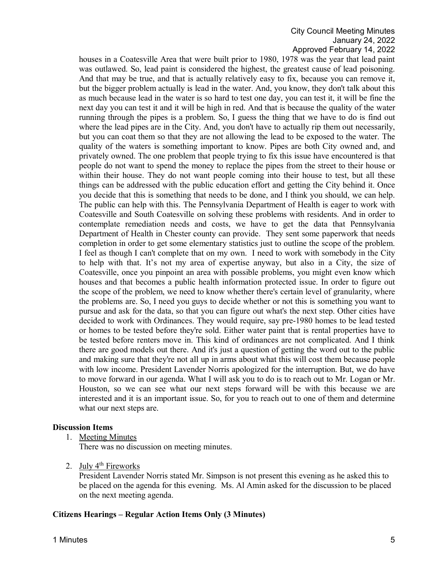houses in a Coatesville Area that were built prior to 1980, 1978 was the year that lead paint was outlawed. So, lead paint is considered the highest, the greatest cause of lead poisoning. And that may be true, and that is actually relatively easy to fix, because you can remove it, but the bigger problem actually is lead in the water. And, you know, they don't talk about this as much because lead in the water is so hard to test one day, you can test it, it will be fine the next day you can test it and it will be high in red. And that is because the quality of the water running through the pipes is a problem. So, I guess the thing that we have to do is find out where the lead pipes are in the City. And, you don't have to actually rip them out necessarily, but you can coat them so that they are not allowing the lead to be exposed to the water. The quality of the waters is something important to know. Pipes are both City owned and, and privately owned. The one problem that people trying to fix this issue have encountered is that people do not want to spend the money to replace the pipes from the street to their house or within their house. They do not want people coming into their house to test, but all these things can be addressed with the public education effort and getting the City behind it. Once you decide that this is something that needs to be done, and I think you should, we can help. The public can help with this. The Pennsylvania Department of Health is eager to work with Coatesville and South Coatesville on solving these problems with residents. And in order to contemplate remediation needs and costs, we have to get the data that Pennsylvania Department of Health in Chester county can provide. They sent some paperwork that needs completion in order to get some elementary statistics just to outline the scope of the problem. I feel as though I can't complete that on my own. I need to work with somebody in the City to help with that. It's not my area of expertise anyway, but also in a City, the size of Coatesville, once you pinpoint an area with possible problems, you might even know which houses and that becomes a public health information protected issue. In order to figure out the scope of the problem, we need to know whether there's certain level of granularity, where the problems are. So, I need you guys to decide whether or not this is something you want to pursue and ask for the data, so that you can figure out what's the next step. Other cities have decided to work with Ordinances. They would require, say pre-1980 homes to be lead tested or homes to be tested before they're sold. Either water paint that is rental properties have to be tested before renters move in. This kind of ordinances are not complicated. And I think there are good models out there. And it's just a question of getting the word out to the public and making sure that they're not all up in arms about what this will cost them because people with low income. President Lavender Norris apologized for the interruption. But, we do have to move forward in our agenda. What I will ask you to do is to reach out to Mr. Logan or Mr. Houston, so we can see what our next steps forward will be with this because we are interested and it is an important issue. So, for you to reach out to one of them and determine what our next steps are.

#### **Discussion Items**

1. Meeting Minutes

There was no discussion on meeting minutes.

2. July 4th Fireworks

President Lavender Norris stated Mr. Simpson is not present this evening as he asked this to be placed on the agenda for this evening. Ms. Al Amin asked for the discussion to be placed on the next meeting agenda.

#### **Citizens Hearings – Regular Action Items Only (3 Minutes)**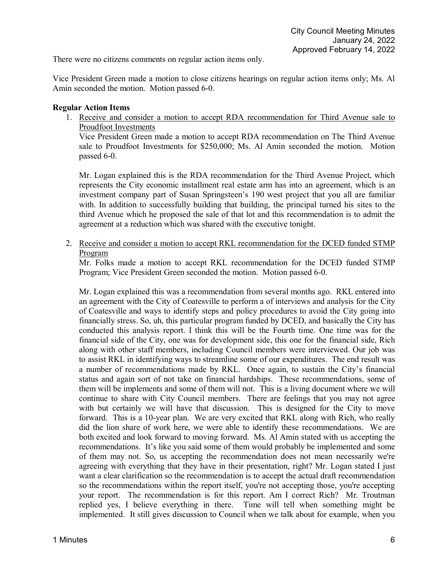There were no citizens comments on regular action items only.

Vice President Green made a motion to close citizens hearings on regular action items only; Ms. Al Amin seconded the motion. Motion passed 6-0.

# **Regular Action Items**

1. Receive and consider a motion to accept RDA recommendation for Third Avenue sale to Proudfoot Investments

Vice President Green made a motion to accept RDA recommendation on The Third Avenue sale to Proudfoot Investments for \$250,000; Ms. Al Amin seconded the motion. Motion passed 6-0.

Mr. Logan explained this is the RDA recommendation for the Third Avenue Project, which represents the City economic installment real estate arm has into an agreement, which is an investment company part of Susan Springsteen's 190 west project that you all are familiar with. In addition to successfully building that building, the principal turned his sites to the third Avenue which he proposed the sale of that lot and this recommendation is to admit the agreement at a reduction which was shared with the executive tonight.

2. Receive and consider a motion to accept RKL recommendation for the DCED funded STMP Program

Mr. Folks made a motion to accept RKL recommendation for the DCED funded STMP Program; Vice President Green seconded the motion. Motion passed 6-0.

Mr. Logan explained this was a recommendation from several months ago. RKL entered into an agreement with the City of Coatesville to perform a of interviews and analysis for the City of Coatesville and ways to identify steps and policy procedures to avoid the City going into financially stress. So, uh, this particular program funded by DCED, and basically the City has conducted this analysis report. I think this will be the Fourth time. One time was for the financial side of the City, one was for development side, this one for the financial side, Rich along with other staff members, including Council members were interviewed. Our job was to assist RKL in identifying ways to streamline some of our expenditures. The end result was a number of recommendations made by RKL. Once again, to sustain the City's financial status and again sort of not take on financial hardships. These recommendations, some of them will be implements and some of them will not. This is a living document where we will continue to share with City Council members. There are feelings that you may not agree with but certainly we will have that discussion. This is designed for the City to move forward. This is a 10-year plan. We are very excited that RKL along with Rich, who really did the lion share of work here, we were able to identify these recommendations. We are both excited and look forward to moving forward. Ms. Al Amin stated with us accepting the recommendations. It's like you said some of them would probably be implemented and some of them may not. So, us accepting the recommendation does not mean necessarily we're agreeing with everything that they have in their presentation, right? Mr. Logan stated I just want a clear clarification so the recommendation is to accept the actual draft recommendation so the recommendations within the report itself, you're not accepting those, you're accepting your report. The recommendation is for this report. Am I correct Rich? Mr. Troutman replied yes, I believe everything in there. Time will tell when something might be implemented. It still gives discussion to Council when we talk about for example, when you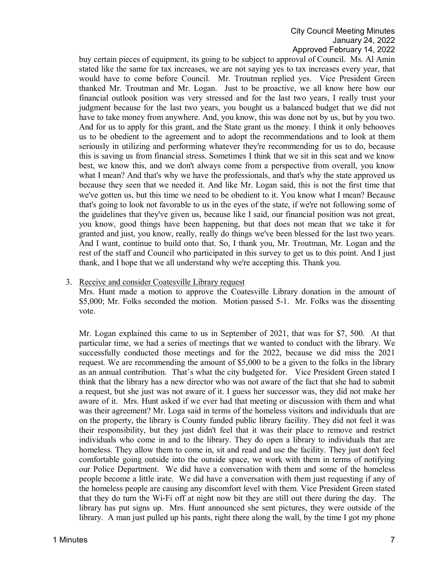buy certain pieces of equipment, its going to be subject to approval of Council. Ms. Al Amin stated like the same for tax increases, we are not saying yes to tax increases every year, that would have to come before Council. Mr. Troutman replied yes. Vice President Green thanked Mr. Troutman and Mr. Logan. Just to be proactive, we all know here how our financial outlook position was very stressed and for the last two years, I really trust your judgment because for the last two years, you bought us a balanced budget that we did not have to take money from anywhere. And, you know, this was done not by us, but by you two. And for us to apply for this grant, and the State grant us the money. I think it only behooves us to be obedient to the agreement and to adopt the recommendations and to look at them seriously in utilizing and performing whatever they're recommending for us to do, because this is saving us from financial stress. Sometimes I think that we sit in this seat and we know best, we know this, and we don't always come from a perspective from overall, you know what I mean? And that's why we have the professionals, and that's why the state approved us because they seen that we needed it. And like Mr. Logan said, this is not the first time that we've gotten us, but this time we need to be obedient to it. You know what I mean? Because that's going to look not favorable to us in the eyes of the state, if we're not following some of the guidelines that they've given us, because like I said, our financial position was not great, you know, good things have been happening, but that does not mean that we take it for granted and just, you know, really, really do things we've been blessed for the last two years. And I want, continue to build onto that. So, I thank you, Mr. Troutman, Mr. Logan and the rest of the staff and Council who participated in this survey to get us to this point. And I just thank, and I hope that we all understand why we're accepting this. Thank you.

# 3. Receive and consider Coatesville Library request

Mrs. Hunt made a motion to approve the Coatesville Library donation in the amount of \$5,000; Mr. Folks seconded the motion. Motion passed 5-1. Mr. Folks was the dissenting vote.

Mr. Logan explained this came to us in September of 2021, that was for \$7, 500. At that particular time, we had a series of meetings that we wanted to conduct with the library. We successfully conducted those meetings and for the 2022, because we did miss the 2021 request. We are recommending the amount of \$5,000 to be a given to the folks in the library as an annual contribution. That's what the city budgeted for. Vice President Green stated I think that the library has a new director who was not aware of the fact that she had to submit a request, but she just was not aware of it. I guess her successor was, they did not make her aware of it. Mrs. Hunt asked if we ever had that meeting or discussion with them and what was their agreement? Mr. Loga said in terms of the homeless visitors and individuals that are on the property, the library is County funded public library facility. They did not feel it was their responsibility, but they just didn't feel that it was their place to remove and restrict individuals who come in and to the library. They do open a library to individuals that are homeless. They allow them to come in, sit and read and use the facility. They just don't feel comfortable going outside into the outside space, we work with them in terms of notifying our Police Department. We did have a conversation with them and some of the homeless people become a little irate. We did have a conversation with them just requesting if any of the homeless people are causing any discomfort level with them. Vice President Green stated that they do turn the Wi-Fi off at night now bit they are still out there during the day. The library has put signs up. Mrs. Hunt announced she sent pictures, they were outside of the library. A man just pulled up his pants, right there along the wall, by the time I got my phone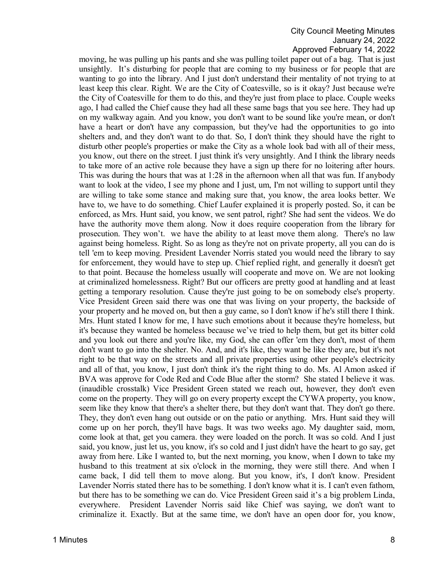moving, he was pulling up his pants and she was pulling toilet paper out of a bag. That is just unsightly. It's disturbing for people that are coming to my business or for people that are wanting to go into the library. And I just don't understand their mentality of not trying to at least keep this clear. Right. We are the City of Coatesville, so is it okay? Just because we're the City of Coatesville for them to do this, and they're just from place to place. Couple weeks ago, I had called the Chief cause they had all these same bags that you see here. They had up on my walkway again. And you know, you don't want to be sound like you're mean, or don't have a heart or don't have any compassion, but they've had the opportunities to go into shelters and, and they don't want to do that. So, I don't think they should have the right to disturb other people's properties or make the City as a whole look bad with all of their mess, you know, out there on the street. I just think it's very unsightly. And I think the library needs to take more of an active role because they have a sign up there for no loitering after hours. This was during the hours that was at 1:28 in the afternoon when all that was fun. If anybody want to look at the video, I see my phone and I just, um, I'm not willing to support until they are willing to take some stance and making sure that, you know, the area looks better. We have to, we have to do something. Chief Laufer explained it is properly posted. So, it can be enforced, as Mrs. Hunt said, you know, we sent patrol, right? She had sent the videos. We do have the authority move them along. Now it does require cooperation from the library for prosecution. They won't. we have the ability to at least move them along. There's no law against being homeless. Right. So as long as they're not on private property, all you can do is tell 'em to keep moving. President Lavender Norris stated you would need the library to say for enforcement, they would have to step up. Chief replied right, and generally it doesn't get to that point. Because the homeless usually will cooperate and move on. We are not looking at criminalized homelessness. Right? But our officers are pretty good at handling and at least getting a temporary resolution. Cause they're just going to be on somebody else's property. Vice President Green said there was one that was living on your property, the backside of your property and he moved on, but then a guy came, so I don't know if he's still there I think. Mrs. Hunt stated I know for me, I have such emotions about it because they're homeless, but it's because they wanted be homeless because we've tried to help them, but get its bitter cold and you look out there and you're like, my God, she can offer 'em they don't, most of them don't want to go into the shelter. No. And, and it's like, they want be like they are, but it's not right to be that way on the streets and all private properties using other people's electricity and all of that, you know, I just don't think it's the right thing to do. Ms. Al Amon asked if BVA was approve for Code Red and Code Blue after the storm? She stated I believe it was. (inaudible crosstalk) Vice President Green stated we reach out, however, they don't even come on the property. They will go on every property except the CYWA property, you know, seem like they know that there's a shelter there, but they don't want that. They don't go there. They, they don't even hang out outside or on the patio or anything. Mrs. Hunt said they will come up on her porch, they'll have bags. It was two weeks ago. My daughter said, mom, come look at that, get you camera. they were loaded on the porch. It was so cold. And I just said, you know, just let us, you know, it's so cold and I just didn't have the heart to go say, get away from here. Like I wanted to, but the next morning, you know, when I down to take my husband to this treatment at six o'clock in the morning, they were still there. And when I came back, I did tell them to move along. But you know, it's, I don't know. President Lavender Norris stated there has to be something. I don't know what it is. I can't even fathom, but there has to be something we can do. Vice President Green said it's a big problem Linda, everywhere. President Lavender Norris said like Chief was saying, we don't want to criminalize it. Exactly. But at the same time, we don't have an open door for, you know,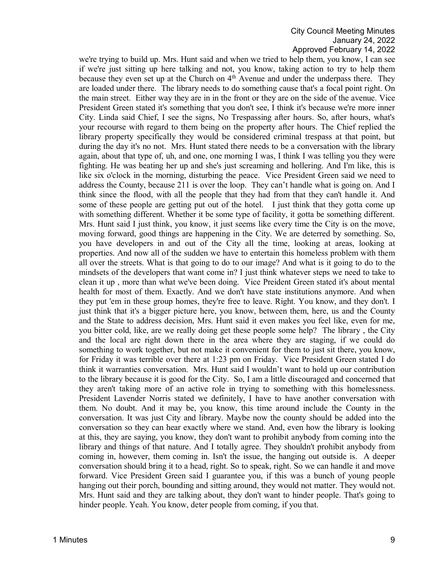we're trying to build up. Mrs. Hunt said and when we tried to help them, you know, I can see if we're just sitting up here talking and not, you know, taking action to try to help them because they even set up at the Church on  $4<sup>th</sup>$  Avenue and under the underpass there. They are loaded under there. The library needs to do something cause that's a focal point right. On the main street. Either way they are in in the front or they are on the side of the avenue. Vice President Green stated it's something that you don't see, I think it's because we're more inner City. Linda said Chief, I see the signs, No Trespassing after hours. So, after hours, what's your recourse with regard to them being on the property after hours. The Chief replied the library property specifically they would be considered criminal trespass at that point, but during the day it's no not. Mrs. Hunt stated there needs to be a conversation with the library again, about that type of, uh, and one, one morning I was, I think I was telling you they were fighting. He was beating her up and she's just screaming and hollering. And I'm like, this is like six o'clock in the morning, disturbing the peace. Vice President Green said we need to address the County, because 211 is over the loop. They can't handle what is going on. And I think since the flood, with all the people that they had from that they can't handle it. And some of these people are getting put out of the hotel. I just think that they gotta come up with something different. Whether it be some type of facility, it gotta be something different. Mrs. Hunt said I just think, you know, it just seems like every time the City is on the move, moving forward, good things are happening in the City. We are deterred by something. So, you have developers in and out of the City all the time, looking at areas, looking at properties. And now all of the sudden we have to entertain this homeless problem with them all over the streets. What is that going to do to our image? And what is it going to do to the mindsets of the developers that want come in? I just think whatever steps we need to take to clean it up , more than what we've been doing. Vice Preident Green stated it's about mental health for most of them. Exactly. And we don't have state institutions anymore. And when they put 'em in these group homes, they're free to leave. Right. You know, and they don't. I just think that it's a bigger picture here, you know, between them, here, us and the County and the State to address decision, Mrs. Hunt said it even makes you feel like, even for me, you bitter cold, like, are we really doing get these people some help? The library , the City and the local are right down there in the area where they are staging, if we could do something to work together, but not make it convenient for them to just sit there, you know, for Friday it was terrible over there at 1:23 pm on Friday. Vice President Green stated I do think it warranties conversation. Mrs. Hunt said I wouldn't want to hold up our contribution to the library because it is good for the City. So, I am a little discouraged and concerned that they aren't taking more of an active role in trying to something with this homelessness. President Lavender Norris stated we definitely, I have to have another conversation with them. No doubt. And it may be, you know, this time around include the County in the conversation. It was just City and library. Maybe now the county should be added into the conversation so they can hear exactly where we stand. And, even how the library is looking at this, they are saying, you know, they don't want to prohibit anybody from coming into the library and things of that nature. And I totally agree. They shouldn't prohibit anybody from coming in, however, them coming in. Isn't the issue, the hanging out outside is. A deeper conversation should bring it to a head, right. So to speak, right. So we can handle it and move forward. Vice President Green said I guarantee you, if this was a bunch of young people hanging out their porch, bounding and sitting around, they would not matter. They would not. Mrs. Hunt said and they are talking about, they don't want to hinder people. That's going to hinder people. Yeah. You know, deter people from coming, if you that.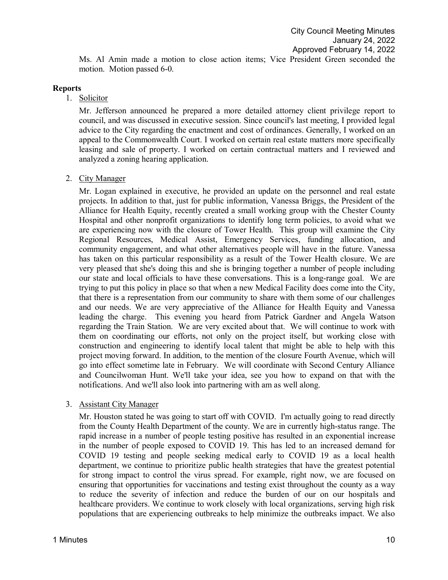Ms. Al Amin made a motion to close action items; Vice President Green seconded the motion. Motion passed 6-0.

## **Reports**

1. Solicitor

Mr. Jefferson announced he prepared a more detailed attorney client privilege report to council, and was discussed in executive session. Since council's last meeting, I provided legal advice to the City regarding the enactment and cost of ordinances. Generally, I worked on an appeal to the Commonwealth Court. I worked on certain real estate matters more specifically leasing and sale of property. I worked on certain contractual matters and I reviewed and analyzed a zoning hearing application.

2. City Manager

Mr. Logan explained in executive, he provided an update on the personnel and real estate projects. In addition to that, just for public information, Vanessa Briggs, the President of the Alliance for Health Equity, recently created a small working group with the Chester County Hospital and other nonprofit organizations to identify long term policies, to avoid what we are experiencing now with the closure of Tower Health. This group will examine the City Regional Resources, Medical Assist, Emergency Services, funding allocation, and community engagement, and what other alternatives people will have in the future. Vanessa has taken on this particular responsibility as a result of the Tower Health closure. We are very pleased that she's doing this and she is bringing together a number of people including our state and local officials to have these conversations. This is a long-range goal. We are trying to put this policy in place so that when a new Medical Facility does come into the City, that there is a representation from our community to share with them some of our challenges and our needs. We are very appreciative of the Alliance for Health Equity and Vanessa leading the charge. This evening you heard from Patrick Gardner and Angela Watson regarding the Train Station. We are very excited about that. We will continue to work with them on coordinating our efforts, not only on the project itself, but working close with construction and engineering to identify local talent that might be able to help with this project moving forward. In addition, to the mention of the closure Fourth Avenue, which will go into effect sometime late in February. We will coordinate with Second Century Alliance and Councilwoman Hunt. We'll take your idea, see you how to expand on that with the notifications. And we'll also look into partnering with am as well along.

3. Assistant City Manager

Mr. Houston stated he was going to start off with COVID. I'm actually going to read directly from the County Health Department of the county. We are in currently high-status range. The rapid increase in a number of people testing positive has resulted in an exponential increase in the number of people exposed to COVID 19. This has led to an increased demand for COVID 19 testing and people seeking medical early to COVID 19 as a local health department, we continue to prioritize public health strategies that have the greatest potential for strong impact to control the virus spread. For example, right now, we are focused on ensuring that opportunities for vaccinations and testing exist throughout the county as a way to reduce the severity of infection and reduce the burden of our on our hospitals and healthcare providers. We continue to work closely with local organizations, serving high risk populations that are experiencing outbreaks to help minimize the outbreaks impact. We also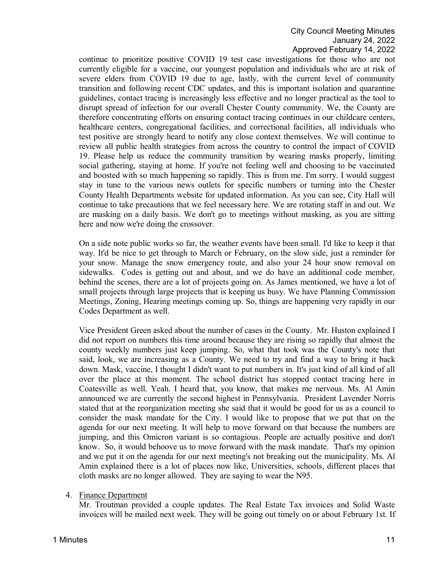continue to prioritize positive COVID 19 test case investigations for those who are not currently eligible for a vaccine, our youngest population and individuals who are at risk of severe elders from COVID 19 due to age, lastly, with the current level of community transition and following recent CDC updates, and this is important isolation and quarantine guidelines, contact tracing is increasingly less effective and no longer practical as the tool to disrupt spread of infection for our overall Chester County community. We, the County are therefore concentrating efforts on ensuring contact tracing continues in our childcare centers, healthcare centers, congregational facilities, and correctional facilities, all individuals who test positive are strongly heard to notify any close context themselves. We will continue to review all public health strategies from across the country to control the impact of COVID 19. Please help us reduce the community transition by wearing masks properly, limiting social gathering, staying at home. If you're not feeling well and choosing to be vaccinated and boosted with so much happening so rapidly. This is from me. I'm sorry. I would suggest stay in tune to the various news outlets for specific numbers or turning into the Chester County Health Departments website for updated information. As you can see, City Hall will continue to take precautions that we feel necessary here. We are rotating staff in and out. We are masking on a daily basis. We don't go to meetings without masking, as you are sitting here and now we're doing the crossover.

On a side note public works so far, the weather events have been small. I'd like to keep it that way. It'd be nice to get through to March or February, on the slow side, just a reminder for your snow. Manage the snow emergency route, and also your 24 hour snow removal on sidewalks. Codes is getting out and about, and we do have an additional code member, behind the scenes, there are a lot of projects going on. As James mentioned, we have a lot of small projects through large projects that is keeping us busy. We have Planning Commission Meetings, Zoning, Hearing meetings coming up. So, things are happening very rapidly in our Codes Department as well.

Vice President Green asked about the number of cases in the County. Mr. Huston explained I did not report on numbers this time around because they are rising so rapidly that almost the county weekly numbers just keep jumping. So, what that took was the County's note that said, look, we are increasing as a County. We need to try and find a way to bring it back down. Mask, vaccine, I thought I didn't want to put numbers in. It's just kind of all kind of all over the place at this moment. The school district has stopped contact tracing here in Coatesville as well. Yeah. I heard that, you know, that makes me nervous. Ms. Al Amin announced we are currently the second highest in Pennsylvania. President Lavender Norris stated that at the reorganization meeting she said that it would be good for us as a council to consider the mask mandate for the City. I would like to propose that we put that on the agenda for our next meeting. It will help to move forward on that because the numbers are jumping, and this Omicron variant is so contagious. People are actually positive and don't know. So, it would behoove us to move forward with the mask mandate. That's my opinion and we put it on the agenda for our next meeting's not breaking out the municipality. Ms. Al Amin explained there is a lot of places now like, Universities, schools, different places that cloth masks are no longer allowed. They are saying to wear the N95.

# 4. Finance Department

Mr. Troutman provided a couple updates. The Real Estate Tax invoices and Solid Waste invoices will be mailed next week. They will be going out timely on or about February 1st. If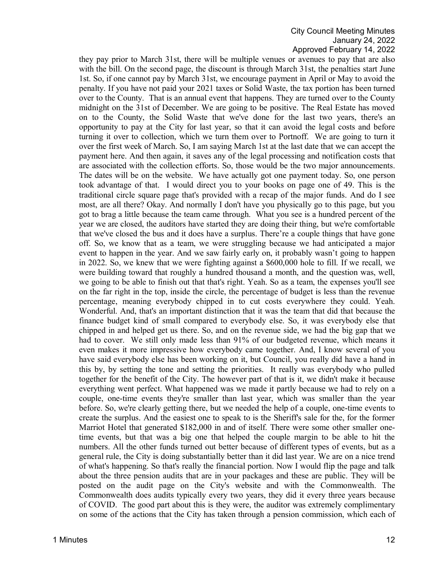they pay prior to March 31st, there will be multiple venues or avenues to pay that are also with the bill. On the second page, the discount is through March 31st, the penalties start June 1st. So, if one cannot pay by March 31st, we encourage payment in April or May to avoid the penalty. If you have not paid your 2021 taxes or Solid Waste, the tax portion has been turned over to the County. That is an annual event that happens. They are turned over to the County midnight on the 31st of December. We are going to be positive. The Real Estate has moved on to the County, the Solid Waste that we've done for the last two years, there's an opportunity to pay at the City for last year, so that it can avoid the legal costs and before turning it over to collection, which we turn them over to Portnoff. We are going to turn it over the first week of March. So, I am saying March 1st at the last date that we can accept the payment here. And then again, it saves any of the legal processing and notification costs that are associated with the collection efforts. So, those would be the two major announcements. The dates will be on the website. We have actually got one payment today. So, one person took advantage of that. I would direct you to your books on page one of 49. This is the traditional circle square page that's provided with a recap of the major funds. And do I see most, are all there? Okay. And normally I don't have you physically go to this page, but you got to brag a little because the team came through. What you see is a hundred percent of the year we are closed, the auditors have started they are doing their thing, but we're comfortable that we've closed the bus and it does have a surplus. There're a couple things that have gone off. So, we know that as a team, we were struggling because we had anticipated a major event to happen in the year. And we saw fairly early on, it probably wasn't going to happen in 2022. So, we knew that we were fighting against a \$600,000 hole to fill. If we recall, we were building toward that roughly a hundred thousand a month, and the question was, well, we going to be able to finish out that that's right. Yeah. So as a team, the expenses you'll see on the far right in the top, inside the circle, the percentage of budget is less than the revenue percentage, meaning everybody chipped in to cut costs everywhere they could. Yeah. Wonderful. And, that's an important distinction that it was the team that did that because the finance budget kind of small compared to everybody else. So, it was everybody else that chipped in and helped get us there. So, and on the revenue side, we had the big gap that we had to cover. We still only made less than 91% of our budgeted revenue, which means it even makes it more impressive how everybody came together. And, I know several of you have said everybody else has been working on it, but Council, you really did have a hand in this by, by setting the tone and setting the priorities. It really was everybody who pulled together for the benefit of the City. The however part of that is it, we didn't make it because everything went perfect. What happened was we made it partly because we had to rely on a couple, one-time events they're smaller than last year, which was smaller than the year before. So, we're clearly getting there, but we needed the help of a couple, one-time events to create the surplus. And the easiest one to speak to is the Sheriff's sale for the, for the former Marriot Hotel that generated \$182,000 in and of itself. There were some other smaller onetime events, but that was a big one that helped the couple margin to be able to hit the numbers. All the other funds turned out better because of different types of events, but as a general rule, the City is doing substantially better than it did last year. We are on a nice trend of what's happening. So that's really the financial portion. Now I would flip the page and talk about the three pension audits that are in your packages and these are public. They will be posted on the audit page on the City's website and with the Commonwealth. The Commonwealth does audits typically every two years, they did it every three years because of COVID. The good part about this is they were, the auditor was extremely complimentary on some of the actions that the City has taken through a pension commission, which each of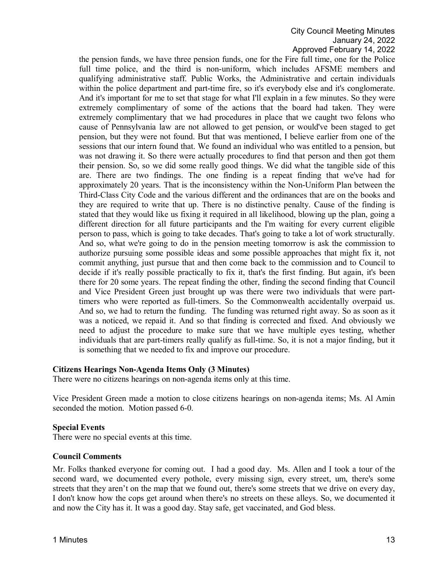the pension funds, we have three pension funds, one for the Fire full time, one for the Police full time police, and the third is non-uniform, which includes AFSME members and qualifying administrative staff. Public Works, the Administrative and certain individuals within the police department and part-time fire, so it's everybody else and it's conglomerate. And it's important for me to set that stage for what I'll explain in a few minutes. So they were extremely complimentary of some of the actions that the board had taken. They were extremely complimentary that we had procedures in place that we caught two felons who cause of Pennsylvania law are not allowed to get pension, or would've been staged to get pension, but they were not found. But that was mentioned, I believe earlier from one of the sessions that our intern found that. We found an individual who was entitled to a pension, but was not drawing it. So there were actually procedures to find that person and then got them their pension. So, so we did some really good things. We did what the tangible side of this are. There are two findings. The one finding is a repeat finding that we've had for approximately 20 years. That is the inconsistency within the Non-Uniform Plan between the Third-Class City Code and the various different and the ordinances that are on the books and they are required to write that up. There is no distinctive penalty. Cause of the finding is stated that they would like us fixing it required in all likelihood, blowing up the plan, going a different direction for all future participants and the I'm waiting for every current eligible person to pass, which is going to take decades. That's going to take a lot of work structurally. And so, what we're going to do in the pension meeting tomorrow is ask the commission to authorize pursuing some possible ideas and some possible approaches that might fix it, not commit anything, just pursue that and then come back to the commission and to Council to decide if it's really possible practically to fix it, that's the first finding. But again, it's been there for 20 some years. The repeat finding the other, finding the second finding that Council and Vice President Green just brought up was there were two individuals that were parttimers who were reported as full-timers. So the Commonwealth accidentally overpaid us. And so, we had to return the funding. The funding was returned right away. So as soon as it was a noticed, we repaid it. And so that finding is corrected and fixed. And obviously we need to adjust the procedure to make sure that we have multiple eyes testing, whether individuals that are part-timers really qualify as full-time. So, it is not a major finding, but it is something that we needed to fix and improve our procedure.

#### **Citizens Hearings Non-Agenda Items Only (3 Minutes)**

There were no citizens hearings on non-agenda items only at this time.

Vice President Green made a motion to close citizens hearings on non-agenda items; Ms. Al Amin seconded the motion. Motion passed 6-0.

#### **Special Events**

There were no special events at this time.

#### **Council Comments**

Mr. Folks thanked everyone for coming out. I had a good day. Ms. Allen and I took a tour of the second ward, we documented every pothole, every missing sign, every street, um, there's some streets that they aren't on the map that we found out, there's some streets that we drive on every day, I don't know how the cops get around when there's no streets on these alleys. So, we documented it and now the City has it. It was a good day. Stay safe, get vaccinated, and God bless.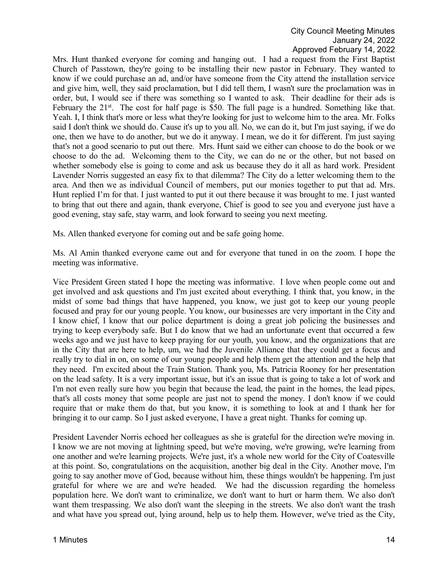Mrs. Hunt thanked everyone for coming and hanging out. I had a request from the First Baptist Church of Passtown, they're going to be installing their new pastor in February. They wanted to know if we could purchase an ad, and/or have someone from the City attend the installation service and give him, well, they said proclamation, but I did tell them, I wasn't sure the proclamation was in order, but, I would see if there was something so I wanted to ask. Their deadline for their ads is February the  $21^{st}$ . The cost for half page is \$50. The full page is a hundred. Something like that. Yeah. I, I think that's more or less what they're looking for just to welcome him to the area. Mr. Folks said I don't think we should do. Cause it's up to you all. No, we can do it, but I'm just saying, if we do one, then we have to do another, but we do it anyway. I mean, we do it for different. I'm just saying that's not a good scenario to put out there. Mrs. Hunt said we either can choose to do the book or we choose to do the ad. Welcoming them to the City, we can do ne or the other, but not based on whether somebody else is going to come and ask us because they do it all as hard work. President Lavender Norris suggested an easy fix to that dilemma? The City do a letter welcoming them to the area. And then we as individual Council of members, put our monies together to put that ad. Mrs. Hunt replied I'm for that. I just wanted to put it out there because it was brought to me. I just wanted to bring that out there and again, thank everyone, Chief is good to see you and everyone just have a good evening, stay safe, stay warm, and look forward to seeing you next meeting.

Ms. Allen thanked everyone for coming out and be safe going home.

Ms. Al Amin thanked everyone came out and for everyone that tuned in on the zoom. I hope the meeting was informative.

Vice President Green stated I hope the meeting was informative. I love when people come out and get involved and ask questions and I'm just excited about everything. I think that, you know, in the midst of some bad things that have happened, you know, we just got to keep our young people focused and pray for our young people. You know, our businesses are very important in the City and I know chief, I know that our police department is doing a great job policing the businesses and trying to keep everybody safe. But I do know that we had an unfortunate event that occurred a few weeks ago and we just have to keep praying for our youth, you know, and the organizations that are in the City that are here to help, um, we had the Juvenile Alliance that they could get a focus and really try to dial in on, on some of our young people and help them get the attention and the help that they need. I'm excited about the Train Station. Thank you, Ms. Patricia Rooney for her presentation on the lead safety. It is a very important issue, but it's an issue that is going to take a lot of work and I'm not even really sure how you begin that because the lead, the paint in the homes, the lead pipes, that's all costs money that some people are just not to spend the money. I don't know if we could require that or make them do that, but you know, it is something to look at and I thank her for bringing it to our camp. So I just asked everyone, I have a great night. Thanks for coming up.

President Lavender Norris echoed her colleagues as she is grateful for the direction we're moving in. I know we are not moving at lightning speed, but we're moving, we're growing, we're learning from one another and we're learning projects. We're just, it's a whole new world for the City of Coatesville at this point. So, congratulations on the acquisition, another big deal in the City. Another move, I'm going to say another move of God, because without him, these things wouldn't be happening. I'm just grateful for where we are and we're headed. We had the discussion regarding the homeless population here. We don't want to criminalize, we don't want to hurt or harm them. We also don't want them trespassing. We also don't want the sleeping in the streets. We also don't want the trash and what have you spread out, lying around, help us to help them. However, we've tried as the City,